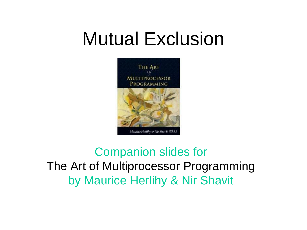

Companion slides for The Art of Multiprocessor Programming by Maurice Herlihy & Nir Shavit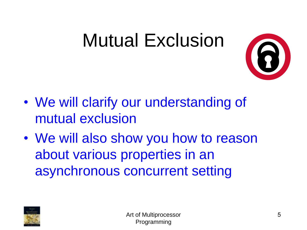

- We will clarify our understanding of mutual exclusion
- We will also show you how to reason about various properties in an asynchronous concurrent setting

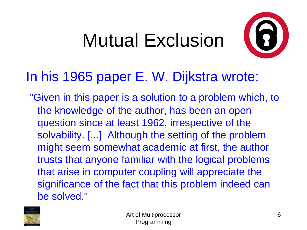

#### In his 1965 paper E. W. Dijkstra wrote:

"Given in this paper is a solution to a problem which, to the knowledge of the author, has been an open question since at least 1962, irrespective of the solvability. [...] Although the setting of the problem might seem somewhat academic at first, the author trusts that anyone familiar with the logical problems that arise in computer coupling will appreciate the significance of the fact that this problem indeed can be solved."

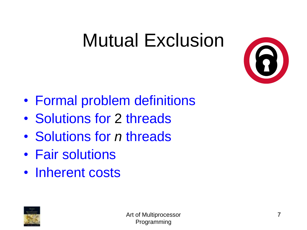

- Formal problem definitions
- Solutions for 2 threads
- Solutions for *n* threads
- Fair solutions
- Inherent costs

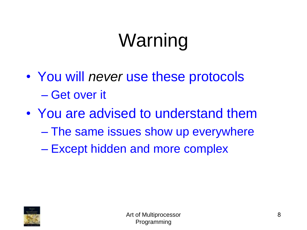## Warning

- You will *never* use these protocols – Get over it
- You are advised to understand them – The same issues show up everywhere – Except hidden and more complex

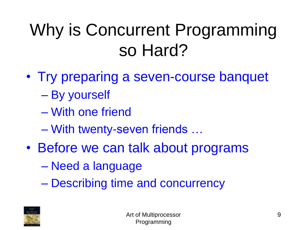### Why is Concurrent Programming so Hard?

- Try preparing a seven-course banquet
	- By yourself
	- With one friend
	- With twenty-seven friends …
- Before we can talk about programs
	- Need a language
	- Describing time and concurrency

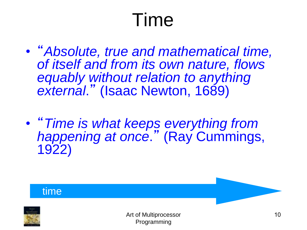## Time

- "*Absolute, true and mathematical time, of itself and from its own nature, flows equably without relation to anything external*." (Isaac Newton, 1689)
- "*Time is what keeps everything from happening at once*." (Ray Cummings, 1922)

#### time

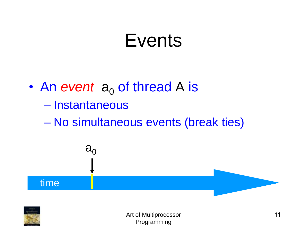#### Events

• An event  $a_0$  of thread A is – Instantaneous – No simultaneous events (break ties)

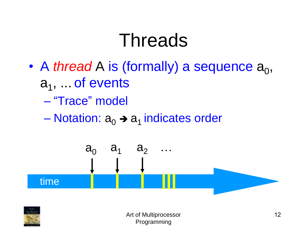#### Threads

- A *thread* A is (formally) a sequence  $a_0$ , a<sub>1</sub>, ... of events
	- "Trace" model
	- Notation:  $a_0 \rightarrow a_1$  indicates order



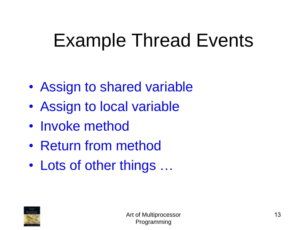## Example Thread Events

- Assign to shared variable
- Assign to local variable
- Invoke method
- Return from method
- Lots of other things ...

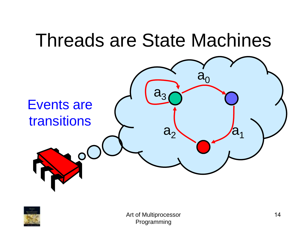# Threads are State Machines Events are transitions  $\ddot{a}_0$  $a_2$ a.

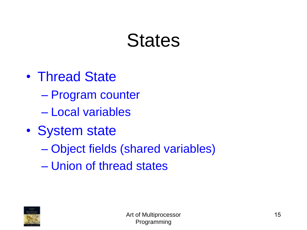#### **States**

- Thread State
	- Program counter
	- Local variables
- System state
	- Object fields (shared variables)
	- Union of thread states

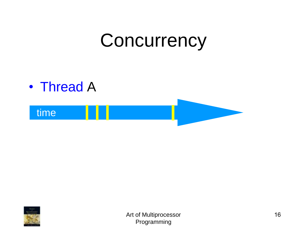#### **Concurrency**



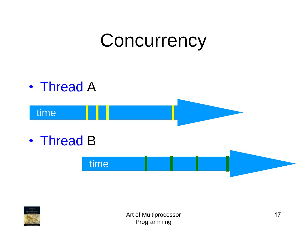### **Concurrency**



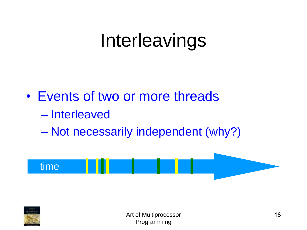### Interleavings

- Events of two or more threads
	- Interleaved
	- Not necessarily independent (why?)



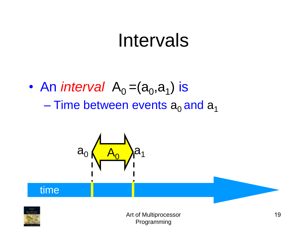#### Intervals

• An *interval*  $A_0 = (a_0, a_1)$  is – Time between events  $a_0$  and  $a_1$ 



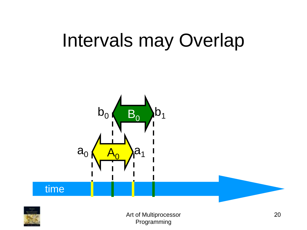### Intervals may Overlap



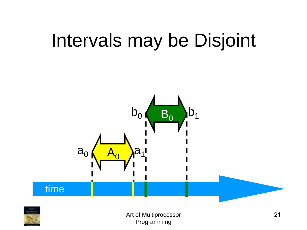### Intervals may be Disjoint





Art of Multiprocessor Programming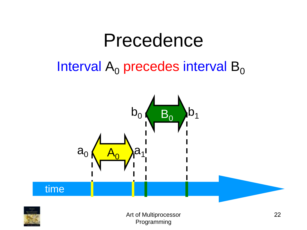#### Precedence

#### Interval  $A_0$  precedes interval  $B_0$



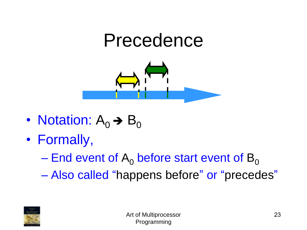#### Precedence



- Notation:  $A_0 \rightarrow B_0$
- Formally,
	- End event of  $A_0$  before start event of  $B_0$
	- Also called "happens before" or "precedes"

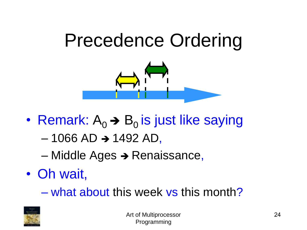## Precedence Ordering



- Remark:  $A_0 \rightarrow B_0$  is just like saying
	- $-1066$  AD  $\rightarrow$  1492 AD,
	- Middle Ages ➔ Renaissance,
- Oh wait,
	- what about this week vs this month?

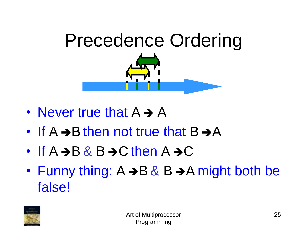

- Never true that  $A \rightarrow A$
- If  $A \rightarrow B$  then not true that  $B \rightarrow A$
- If  $A \rightarrow B \& B \rightarrow C$  then  $A \rightarrow C$
- Funny thing:  $A \rightarrow B \& B \rightarrow A$  might both be false!

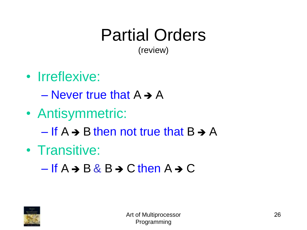#### Partial Orders (review)

• Irreflexive:

 $-$  Never true that  $A \rightarrow A$ 

• Antisymmetric:

– If  $A \rightarrow B$  then not true that  $B \rightarrow A$ 

• Transitive:

 $-If A \rightarrow B & B \rightarrow C$  then  $A \rightarrow C$ 

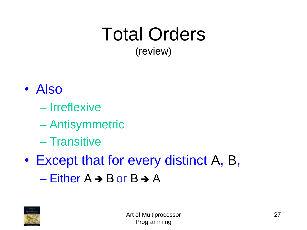#### Total Orders (review)

- Also
	- Irreflexive
	- Antisymmetric
	- Transitive
- Except that for every distinct A, B,  $-$  Either A  $\rightarrow$  B or B  $\rightarrow$  A

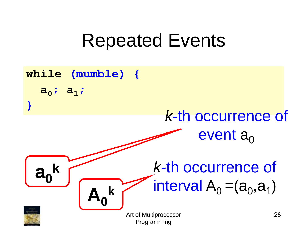#### Repeated Events

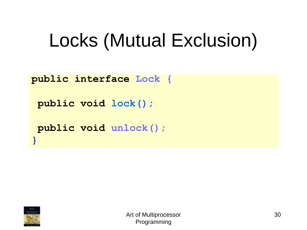## Locks (Mutual Exclusion)

**public interface Lock { public void lock();**

**public void unlock();**



**}**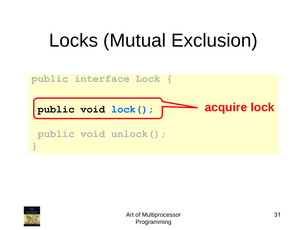## Locks (Mutual Exclusion)



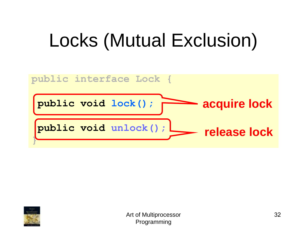## Locks (Mutual Exclusion)



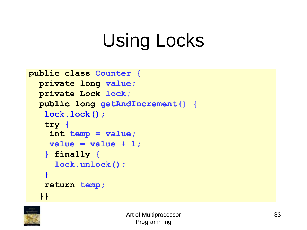```
public class Counter {
private long value;
private Lock lock;
public long getAndIncrement() {
 lock.lock();
 try {
  int temp = value;
  value = value + 1;
 } finally {
   lock.unlock();
 }
 return temp;
}}
```
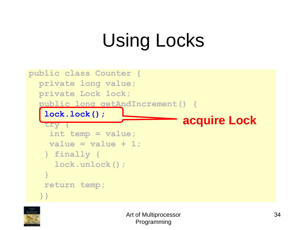

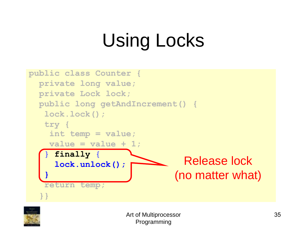

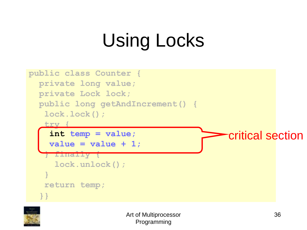

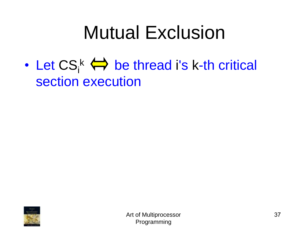• Let  $\mathsf{CS}_{i}^k \leftrightarrow \mathsf{be}$  thread i's k-th critical section execution

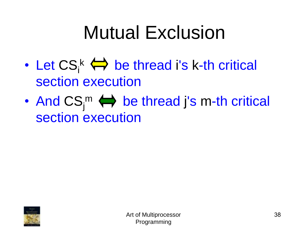- Let  $\mathsf{CS}_{i}^k \leftrightarrow \mathsf{be}$  thread i's k-th critical section execution
- And  $CS_j^m \Leftrightarrow$  be thread j's m-th critical section execution

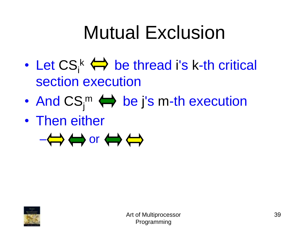- Let  $\mathsf{CS}_{i}^k \leftrightarrow \mathsf{be}$  thread i's k-th critical section execution
- And  $CS_j^m \Leftrightarrow$  be j's m-th execution
- Then either



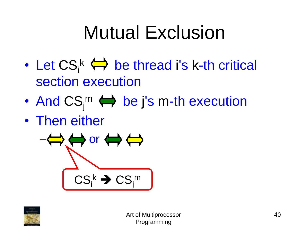- Let  $\mathsf{CS}_{i}^k \leftrightarrow \mathsf{be}$  thread i's k-th critical section execution
- And  $CS_j^m \Leftrightarrow$  be j's m-th execution
- Then either



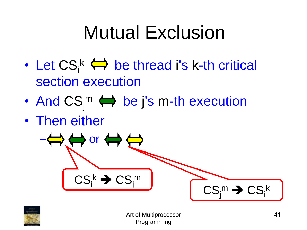## Mutual Exclusion

- Let  $\mathsf{CS}_{i}^k \leftrightarrow \mathsf{be}$  thread i's k-th critical section execution
- And  $CS_j^m \Leftrightarrow$  be j's m-th execution
- Then either





Art of Multiprocessor Programming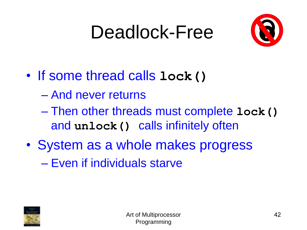## Deadlock-Free



- If some thread calls **lock()**
	- And never returns
	- Then other threads must complete **lock()** and **unlock()** calls infinitely often
- System as a whole makes progress – Even if individuals starve

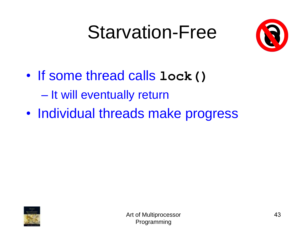## Starvation-Free



- If some thread calls **lock()** – It will eventually return
- Individual threads make progress

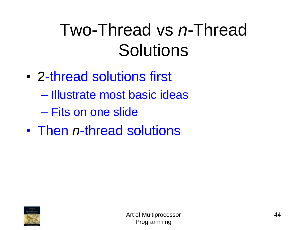## Two-Thread vs *n*-Thread **Solutions**

- 2-thread solutions first
	- Illustrate most basic ideas
	- Fits on one slide
- Then *n*-thread solutions

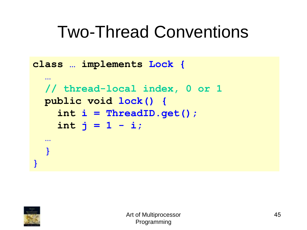#### Two-Thread Conventions

```
class … implements Lock {
  …
  // thread-local index, 0 or 1
 public void lock() {
    int i = ThreadID.get();
    int j = 1 - i;…
  }
}
```
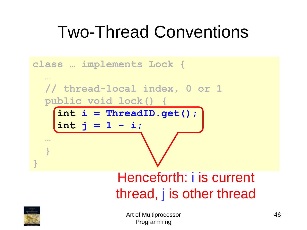## Two-Thread Conventions



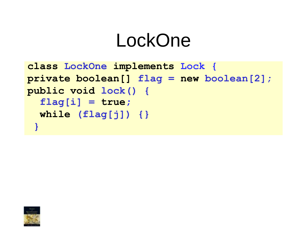```
class LockOne implements Lock {
private boolean[] flag = new boolean[2];
public void lock() {
  flag[i] = true;
  while (flag[j]) {}
 }
```
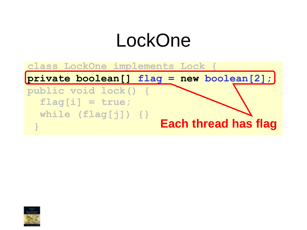**class LockOne implements Lock {**

**private boolean[] flag = new boolean[2];**

**public void lock() { flag[i] = true; while (flag[j]) {} } Each thread has flag**

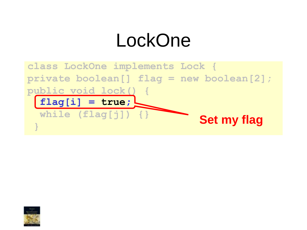

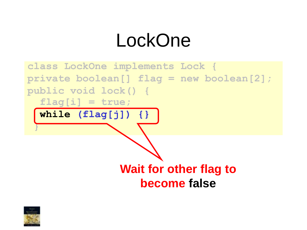

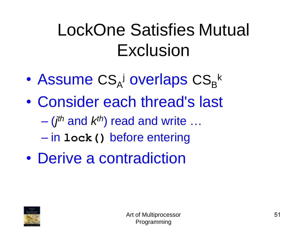## LockOne Satisfies Mutual Exclusion

- Assume CS<sub>A</sub><sup>j</sup> overlaps CS<sub>B</sub><sup>k</sup>
- Consider each thread's last
	- (*j th* and *k th*) read and write …
	- in **lock()** before entering
- Derive a contradiction

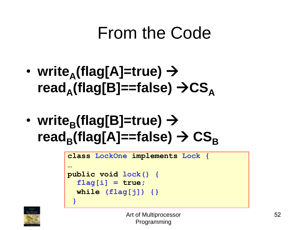#### From the Code

- **write<sup>A</sup> (flag[A]=true)** → **read<sup>A</sup> (flag[B]==false)** →**CS<sup>A</sup>**
- **write<sup>B</sup> (flag[B]=true)** →  $\mathsf{read}_{\mathsf{B}}(\mathsf{flag}[\mathsf{A}] \mathsf{=} \mathsf{false}) \rightarrow \mathsf{CS}_{\mathsf{B}}$

```
class LockOne implements Lock {
…
public void lock() {
  flag[i] = true;
  while (flag[j]) {}
 }
```
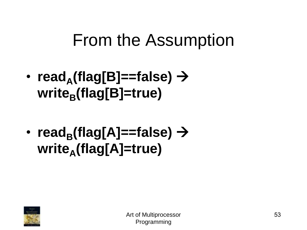#### From the Assumption

- **read<sup>A</sup> (flag[B]==false)** → **write<sup>B</sup> (flag[B]=true)**
- **read<sup>B</sup> (flag[A]==false)** → **write<sup>A</sup> (flag[A]=true)**

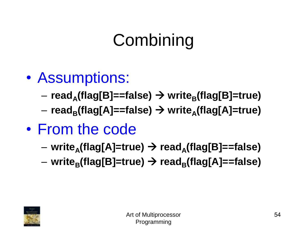- Assumptions:
	- **read<sup>A</sup> (flag[B]==false)** → **write<sup>B</sup> (flag[B]=true)**
	- **read<sup>B</sup> (flag[A]==false)** → **write<sup>A</sup> (flag[A]=true)**
- From the code
	- **write<sup>A</sup> (flag[A]=true)** → **read<sup>A</sup> (flag[B]==false)**
	- **write<sup>B</sup> (flag[B]=true)** → **read<sup>B</sup> (flag[A]==false)**

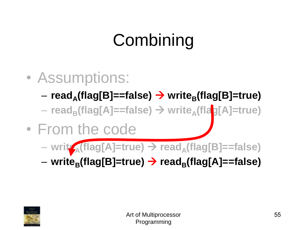- Assumptions:
	- **read<sup>A</sup> (flag[B]==false)** → **write<sup>B</sup> (flag[B]=true)**
	- **read<sup>B</sup> (flag[A]==false)** → **write<sup>A</sup> (flag[A]=true)**
- From the code
	- **write<sup>A</sup> (flag[A]=true)** → **read<sup>A</sup> (flag[B]==false)**

– **write<sup>B</sup> (flag[B]=true)** → **read<sup>B</sup> (flag[A]==false)**

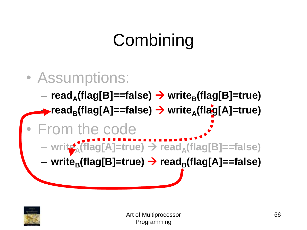

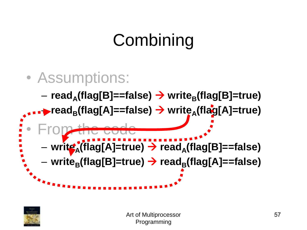

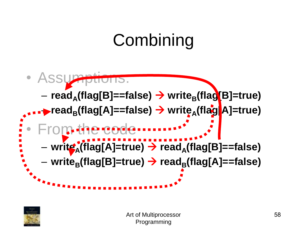

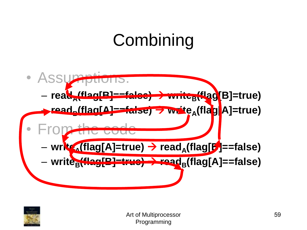

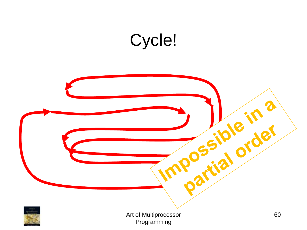### Cycle!

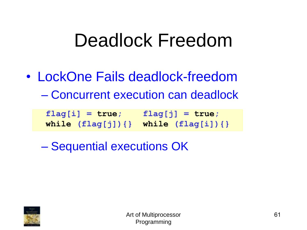## Deadlock Freedom

• LockOne Fails deadlock-freedom – Concurrent execution can deadlock

| $flag[i] = true;$                       | $flag[j] = true;$ |
|-----------------------------------------|-------------------|
| while $flag[j])$ {} while $flag[i])$ {} |                   |

– Sequential executions OK

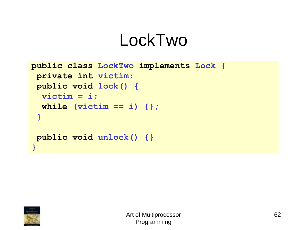```
public class LockTwo implements Lock {
private int victim;
public void lock() {
  victim = i;
  while (victim == i) {}; 
 }
public void unlock() {}
}
```
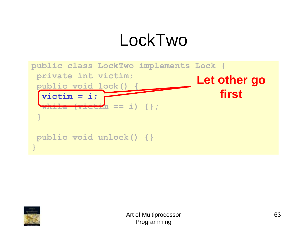

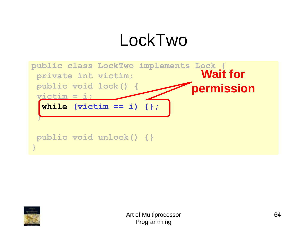

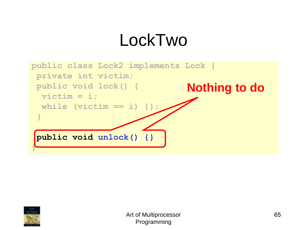

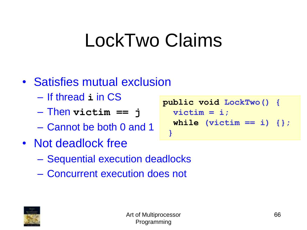## LockTwo Claims

#### • Satisfies mutual exclusion

- If thread **i** in CS
- Then **victim == j**
- Cannot be both 0 and 1
- Not deadlock free
	- Sequential execution deadlocks
	- Concurrent execution does not



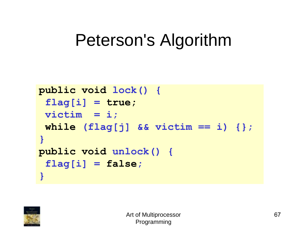```
public void lock() {
 flag[i] = true; 
 victim = i;
 while (flag[j] && victim == i) {};
}
public void unlock() {
 flag[i] = false;
}
```
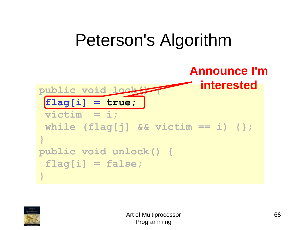#### Peterson's Algorithm public void lock **flag[i] = true; victim = i; while (flag[j] && victim == i) {}; } public void unlock() { flag[i] = false; } Announce I'm interested**

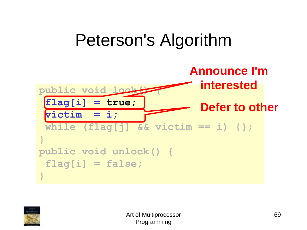

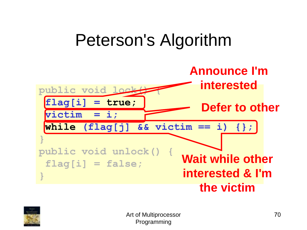

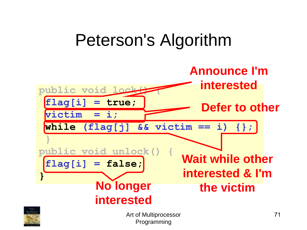

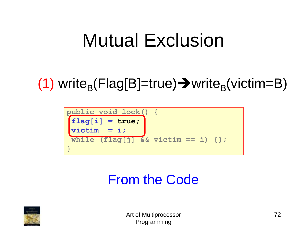## Mutual Exclusion

#### (1) write<sub>B</sub>(Flag[B]=true) $\rightarrow$ write<sub>B</sub>(victim=B)



#### From the Code

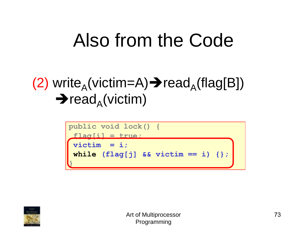## Also from the Code

#### (2) write<sub>A</sub>(victim=A)  $\rightarrow$  read<sub>A</sub>(flag[B])  $\rightarrow$  read<sub>A</sub>(victim)



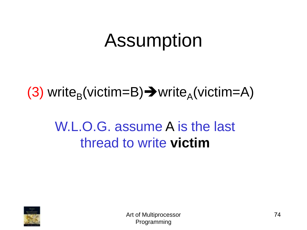## Assumption

#### (3) write<sub>B</sub>(victim=B) $\rightarrow$ write<sub>A</sub>(victim=A)

#### W.L.O.G. assume A is the last thread to write **victim**

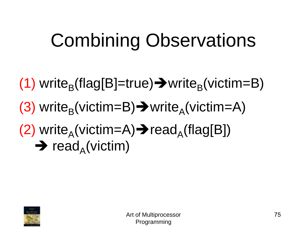# Combining Observations

(1) write<sub>B</sub>(flag[B]=true)  $\rightarrow$  write<sub>B</sub>(victim=B) (3) write<sub>B</sub>(victim=B) $\rightarrow$ write<sub>A</sub>(victim=A) (2) write<sub>A</sub>(victim=A) $\rightarrow$ read<sub>A</sub>(flag[B])  $\rightarrow$  read<sub>A</sub>(victim)

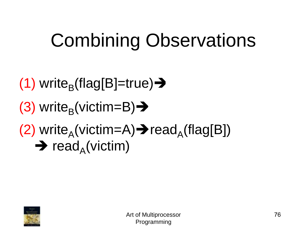# Combining Observations

(1) write<sub>B</sub>(flag[B]=true)→ (3) write<sub>B</sub>(victim=B)→ (2) write<sub>A</sub>(victim=A) $\rightarrow$ read<sub>A</sub>(flag[B])  $\rightarrow$  read<sub>A</sub>(victim)

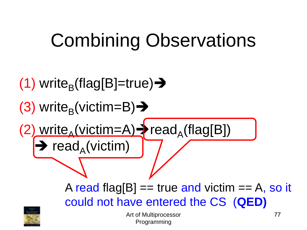## Combining Observations

77 (1) write<sub>B</sub>(flag[B]=true)→ (3) write<sub>B</sub>(victim=B)→ (2) write<sub>A</sub>(victim=A) > read<sub>A</sub>(flag[B])  $\rightarrow$  read<sub>A</sub>(victim) A read flag[B]  $==$  true and victim  $== A$ , so it could not have entered the CS (**QED)**

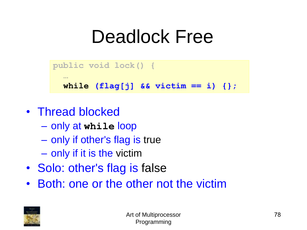#### Deadlock Free



- Thread blocked
	- only at **while** loop
	- only if other's flag is true
	- only if it is the victim
- Solo: other's flag is false
- Both: one or the other not the victim

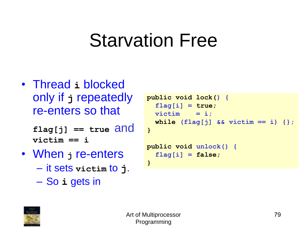#### Starvation Free

• Thread **i** blocked only if **j** repeatedly re-enters so that

> **flag[j] == true** and **victim == i**

- When **j** re-enters
	- it sets **victim** to **j**.
	- So **i** gets in

```
public void lock() {
  flag[i] = true; 
  \text{victim} = i;
  while (flag[j] && victim == i) {};
}
public void unlock() {
  flag[i] = false; 
}
```
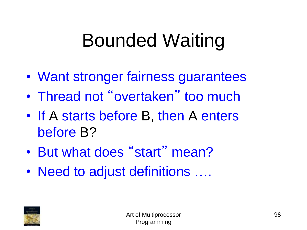### Bounded Waiting

- Want stronger fairness guarantees
- Thread not "overtaken" too much
- If A starts before B, then A enters before B?
- But what does "start" mean?
- Need to adjust definitions ....

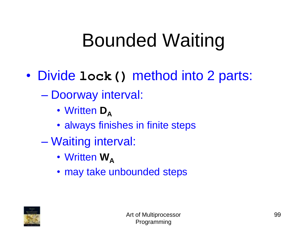### Bounded Waiting

- Divide **lock()** method into 2 parts:
	- Doorway interval:
		- Written **D**<sub>A</sub>
		- always finishes in finite steps
	- Waiting interval:
		- Written **W**<sub>A</sub>
		- may take unbounded steps

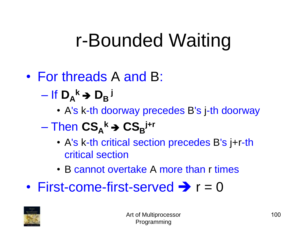#### r-Bounded Waiting

#### • For threads A and B:

- $-$  If  $D_A^k \rightarrow D_B^k$ 
	- A's k-th doorway precedes B's j-th doorway

#### $-$  Then  $\text{CS}_{A}{}^k \rightarrow \text{CS}_{B}{}^{j+r}$

- A's k-th critical section precedes B's j+r-th critical section
- B cannot overtake A more than r times
- First-come-first-served  $\rightarrow r = 0$

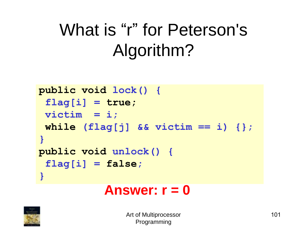#### What is "r" for Peterson's Algorithm?

```
public void lock() {
 flag[i] = true; 
 victim = i;
 while (flag[j] && victim == i) {};
}
public void unlock() {
 flag[i] = false;
}
```
#### **Answer: r = 0**

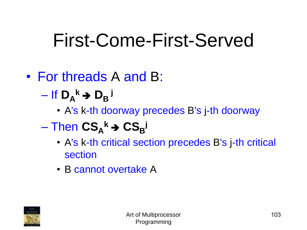#### First-Come-First-Served

#### • For threads A and B:

- $-$  If  $D_A^k \rightarrow D_B^k$ 
	- A's k-th doorway precedes B's j-th doorway

#### $-$  Then  $\mathbf{CS_A}^k \rightarrow \mathbf{CS_B}^k$

- A's k-th critical section precedes B's j-th critical section
- B cannot overtake A

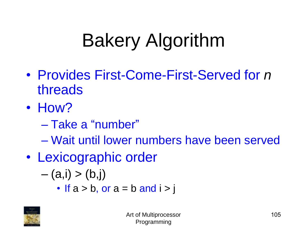- Provides First-Come-First-Served for *n* threads
- How?
	- Take a "number"
	- Wait until lower numbers have been served
- Lexicographic order

$$
-(a,i)>(b,j)
$$

• If 
$$
a > b
$$
, or  $a = b$  and  $i > j$ 

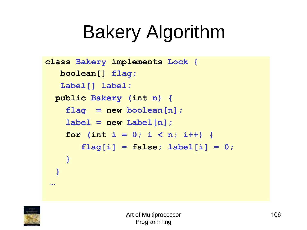```
class Bakery implements Lock {
  boolean[] flag;
   Label[] label;
 public Bakery (int n) {
    flag = new boolean[n];
    label = new Label[n];for (int i = 0; i < n; i++)flag[i] = false; label[i] = 0;
    }
  }
 …
```
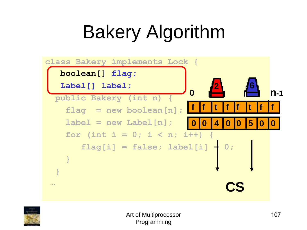

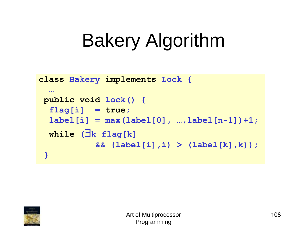```
class Bakery implements Lock {
  …
 public void lock() { 
  flag[i] = true; 
  label[i] = max(label[0], ..., label[n-1]) + 1;\mathbf{while} (\exists k \ \mathbf{flag}[k])&& (label[i],i) > (label[k],k));
 }
```
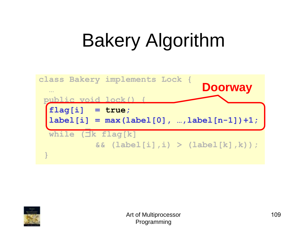

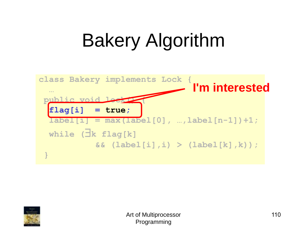

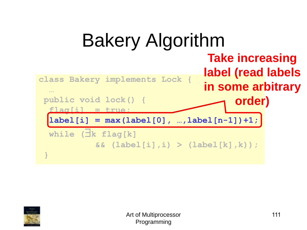

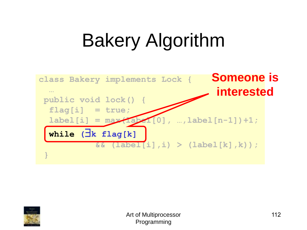

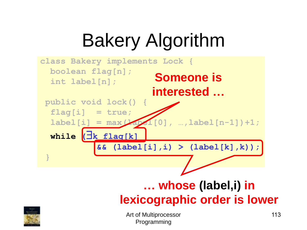



Art of Multiprocessor Programming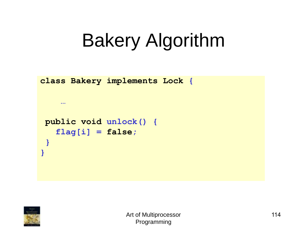```
class Bakery implements Lock {
    …
public void unlock() { 
   flag[i] = false;
 }
}
```
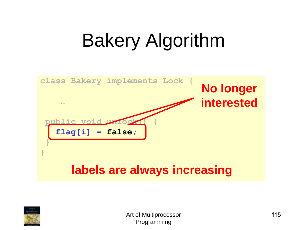

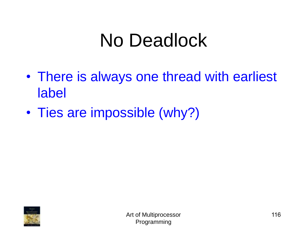#### No Deadlock

- There is always one thread with earliest label
- Ties are impossible (why?)

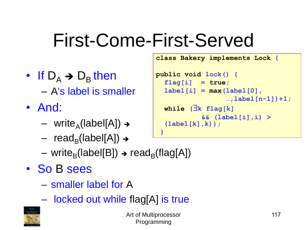#### First-Come-First-Served

- If  $D_A \rightarrow D_B$  then – A's label is smaller
- And:
	- write<sub>A</sub>(label[A]) →
	- read<sub>B</sub>(label[A]) →
	- write<sub>B</sub>(label[B]) → read<sub>B</sub>(flag[A])
- So B sees
	- smaller label for A
	- locked out while flag[A] is true



**public void lock() { flag[i] = true; label[i] = max(label[0], …,label[n-1])+1; while (**\$**k flag[k] && (label[i],i) > (label[k],k)); }**

**class Bakery implements Lock {**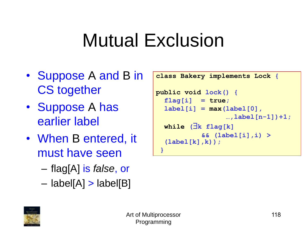- Suppose A and B in CS together
- Suppose A has earlier label
- When B entered, it must have seen
	- flag[A] is *false*, or
	- $-$  label[A]  $>$  label[B]

```
class Bakery implements Lock {
```

```
public void lock() { 
  flag[i] = true;
  label[i] = max(label[0],…,label[n-1])+1;
  \mathbf{while} (\exists k \ \mathbf{flag}[k])&& (label[i],i) > 
  (label[k],k));
 }
```
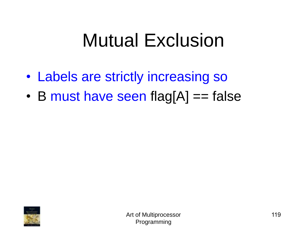- Labels are strictly increasing so
- B must have seen flag $[A] == false$

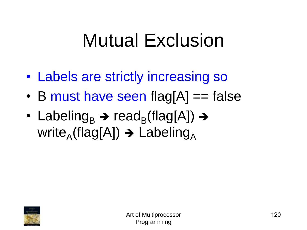- Labels are strictly increasing so
- B must have seen flag[A] == false
- Labeling<sub>B</sub>  $\rightarrow$  read<sub>B</sub>(flag[A])  $\rightarrow$ write<sub>A</sub>(flag[A])  $\rightarrow$  Labeling<sub>A</sub>

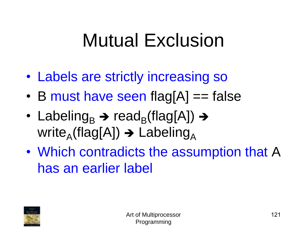- Labels are strictly increasing so
- B must have seen flag $[A] == false$
- Labeling<sub>B</sub>  $\rightarrow$  read<sub>B</sub>(flag[A])  $\rightarrow$ write<sub>A</sub>(flag[A])  $\rightarrow$  Labeling<sub>A</sub>
- Which contradicts the assumption that A has an earlier label

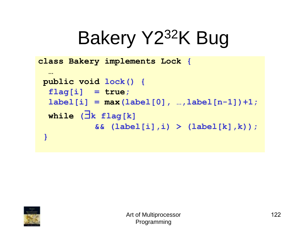### Bakery Y232K Bug

**class Bakery implements Lock {**

```
…
public void lock() { 
 flag[i] = true;
 label[i] = max(label[0], ..., label[n-1]) +1;\mathbf{while} (\exists k \ \mathbf{flag}[k])&& (label[i],i) > (label[k],k));
}
```
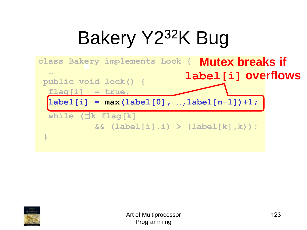# Bakery Y232K Bug



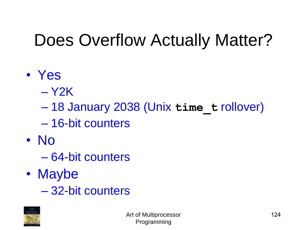#### Does Overflow Actually Matter?

- Yes
	- Y2K
	- 18 January 2038 (Unix **time\_t** rollover)
	- 16-bit counters
- No
	- 64-bit counters
- Maybe
	- 32-bit counters

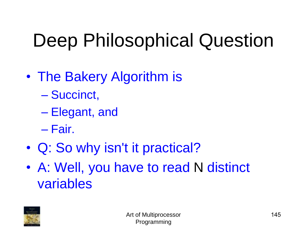### Deep Philosophical Question

- The Bakery Algorithm is
	- Succinct,
	- Elegant, and
	- Fair.
- Q: So why isn't it practical?
- A: Well, you have to read N distinct variables

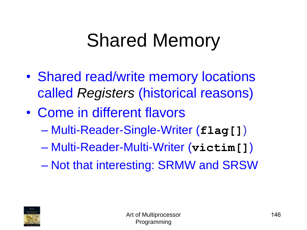#### Shared Memory

- Shared read/write memory locations called *Registers* (historical reasons)
- Come in different flavors
	- Multi-Reader-Single-Writer (**flag[]**)
	- Multi-Reader-Multi-Writer (**victim[]**)
	- Not that interesting: SRMW and SRSW

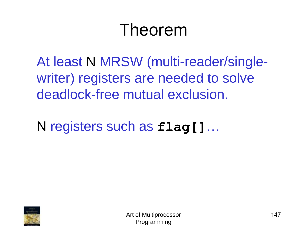#### Theorem

At least N MRSW (multi-reader/singlewriter) registers are needed to solve deadlock-free mutual exclusion.

N registers such as **flag[]**…

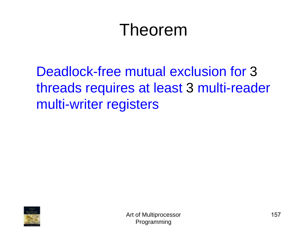#### Theorem

Deadlock-free mutual exclusion for 3 threads requires at least 3 multi-reader multi-writer registers

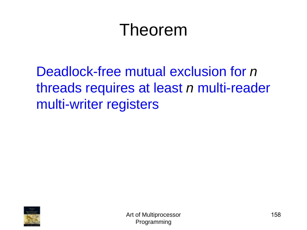#### Theorem

Deadlock-free mutual exclusion for *n* threads requires at least *n* multi-reader multi-writer registers

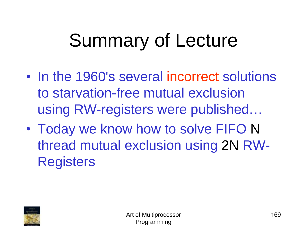## Summary of Lecture

- In the 1960's several incorrect solutions to starvation-free mutual exclusion using RW-registers were published…
- Today we know how to solve FIFO N thread mutual exclusion using 2N RW-**Registers**

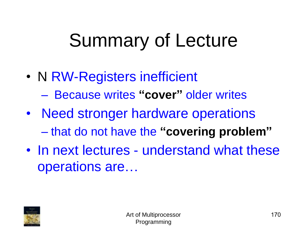### Summary of Lecture

- N RW-Registers inefficient
	- Because writes **"cover"** older writes
- Need stronger hardware operations – that do not have the **"covering problem"**
- In next lectures understand what these operations are…